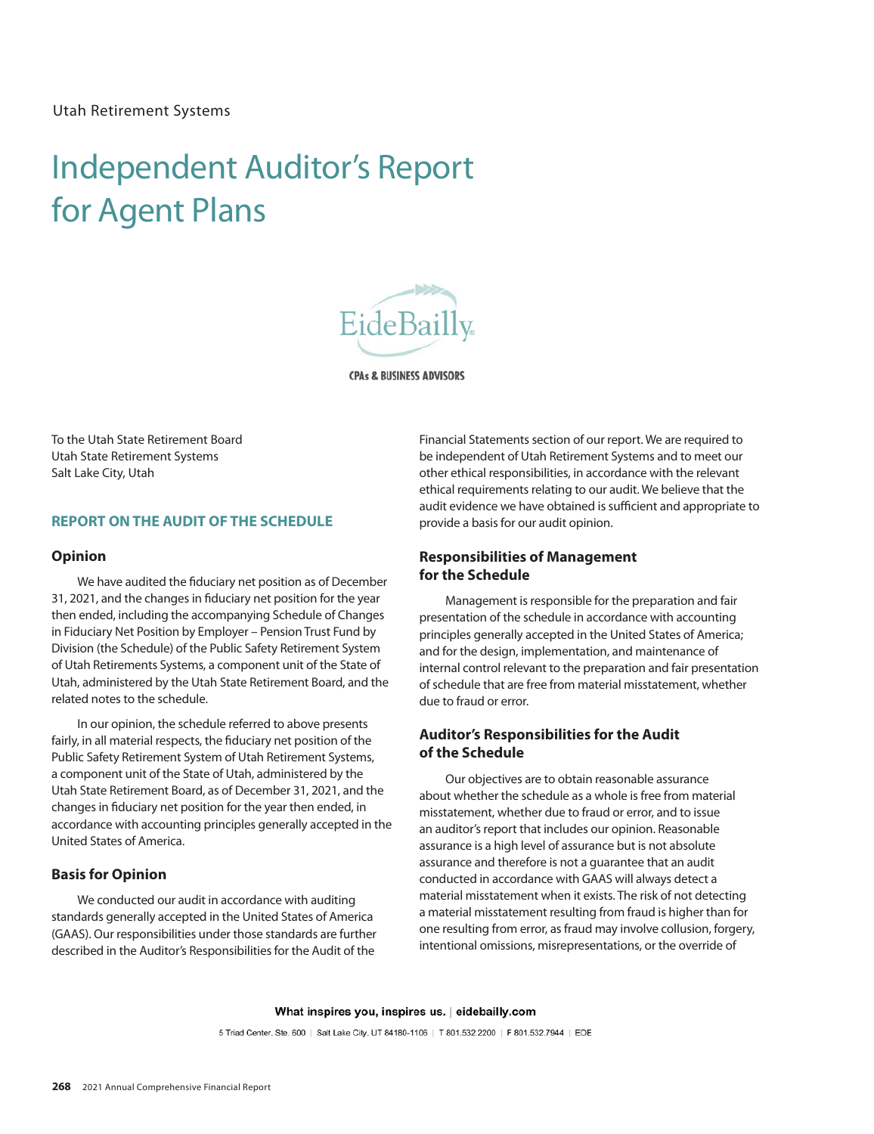# Independent Auditor's Report Independent Auditor's Report for Agent Plans



**CPAs & BUSINESS ADVISORS** 

To the Utah State Retirement Board Utah State Retirement Systems Salt Lake City, Utah

#### **REPORT ON THE AUDIT OF THE SCHEDULE**

#### **Opinion**

We have audited the fiduciary net position as of December 31, 2021, and the changes in fiduciary net position for the year then ended, including the accompanying Schedule of Changes in Fiduciary Net Position by Employer – Pension Trust Fund by Division (the Schedule) of the Public Safety Retirement System of Utah Retirements Systems, a component unit of the State of Utah, administered by the Utah State Retirement Board, and the related notes to the schedule.

In our opinion, the schedule referred to above presents fairly, in all material respects, the fiduciary net position of the Public Safety Retirement System of Utah Retirement Systems, a component unit of the State of Utah, administered by the Utah State Retirement Board, as of December 31, 2021, and the changes in fiduciary net position for the year then ended, in accordance with accounting principles generally accepted in the United States of America.

#### **Basis for Opinion**

We conducted our audit in accordance with auditing standards generally accepted in the United States of America (GAAS). Our responsibilities under those standards are further described in the Auditor's Responsibilities for the Audit of the

Financial Statements section of our report. We are required to be independent of Utah Retirement Systems and to meet our other ethical responsibilities, in accordance with the relevant ethical requirements relating to our audit. We believe that the audit evidence we have obtained is sufficient and appropriate to provide a basis for our audit opinion.

## **Responsibilities of Management for the Schedule**

Management is responsible for the preparation and fair presentation of the schedule in accordance with accounting principles generally accepted in the United States of America; and for the design, implementation, and maintenance of internal control relevant to the preparation and fair presentation of schedule that are free from material misstatement, whether due to fraud or error.

# **Auditor's Responsibilities for the Audit of the Schedule**

Our objectives are to obtain reasonable assurance about whether the schedule as a whole is free from material misstatement, whether due to fraud or error, and to issue an auditor's report that includes our opinion. Reasonable assurance is a high level of assurance but is not absolute assurance and therefore is not a guarantee that an audit conducted in accordance with GAAS will always detect a material misstatement when it exists. The risk of not detecting a material misstatement resulting from fraud is higher than for one resulting from error, as fraud may involve collusion, forgery, intentional omissions, misrepresentations, or the override of

What inspires you, inspires us. | eidebailly.com

5 Triad Center, Ste. 600 | Salt Lake City, UT 84180-1106 | T 801.532.2200 | F 801.532.7944 | EOE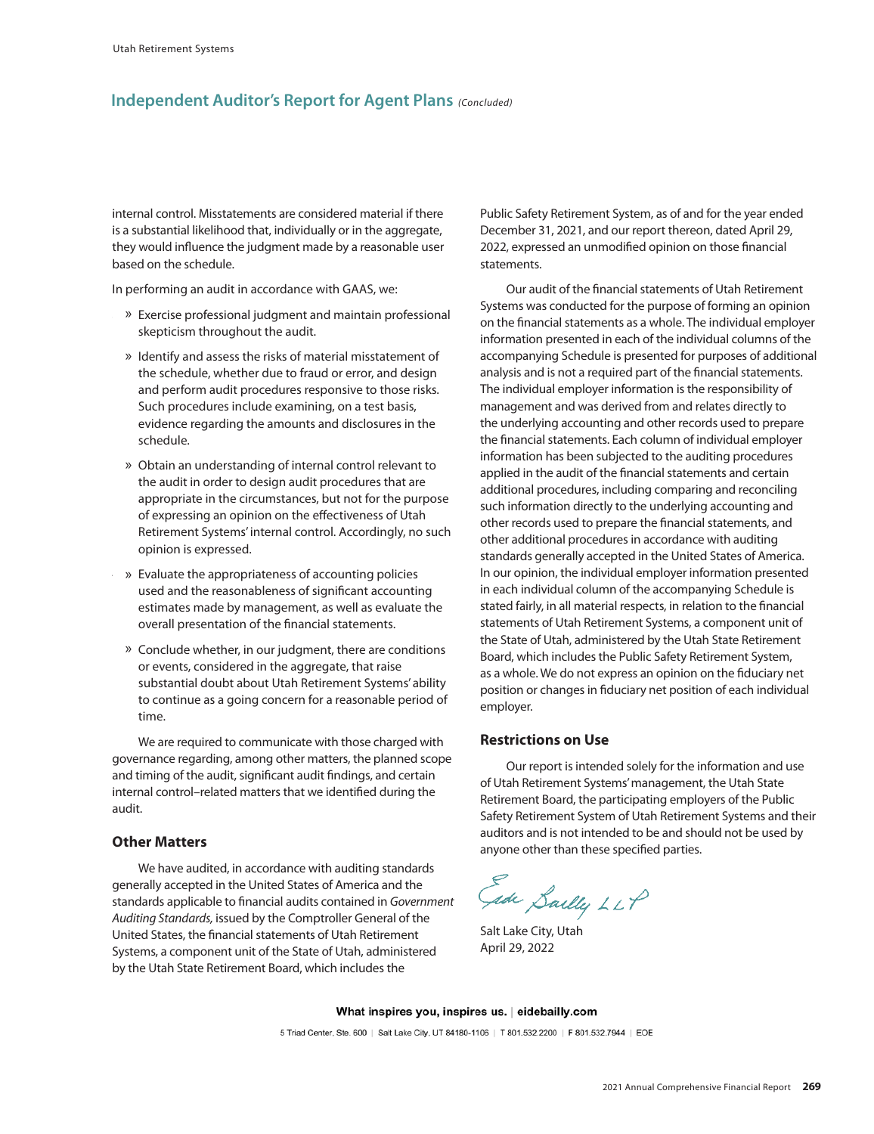# **Independent Auditor's Report for Agent Plans** *(Concluded)*

internal control. Misstatements are considered material if there is a substantial likelihood that, individually or in the aggregate, they would influence the judgment made by a reasonable user based on the schedule.

In performing an audit in accordance with GAAS, we:

- » Exercise professional judgment and maintain professional skepticism throughout the audit.
- > Identify and assess the risks of material misstatement of the schedule, whether due to fraud or error, and design and perform audit procedures responsive to those risks. Such procedures include examining, on a test basis, evidence regarding the amounts and disclosures in the schedule.
- » Obtain an understanding of internal control relevant to the audit in order to design audit procedures that are appropriate in the circumstances, but not for the purpose of expressing an opinion on the effectiveness of Utah Retirement Systems' internal control. Accordingly, no such opinion is expressed.
- 4. Evaluate the appropriateness of accounting policies » used and the reasonableness of significant accounting estimates made by management, as well as evaluate the overall presentation of the financial statements.
- $\rightarrow$  Conclude whether, in our judgment, there are conditions or events, considered in the aggregate, that raise substantial doubt about Utah Retirement Systems' ability to continue as a going concern for a reasonable period of time.

We are required to communicate with those charged with governance regarding, among other matters, the planned scope and timing of the audit, significant audit findings, and certain internal control–related matters that we identified during the audit.

### **Other Matters**

We have audited, in accordance with auditing standards generally accepted in the United States of America and the standards applicable to financial audits contained in *Government Auditing Standards,* issued by the Comptroller General of the United States, the financial statements of Utah Retirement Systems, a component unit of the State of Utah, administered by the Utah State Retirement Board, which includes the

Public Safety Retirement System, as of and for the year ended December 31, 2021, and our report thereon, dated April 29, 2022, expressed an unmodified opinion on those financial statements.

Our audit of the financial statements of Utah Retirement Systems was conducted for the purpose of forming an opinion on the financial statements as a whole. The individual employer information presented in each of the individual columns of the accompanying Schedule is presented for purposes of additional analysis and is not a required part of the financial statements. The individual employer information is the responsibility of management and was derived from and relates directly to the underlying accounting and other records used to prepare the financial statements. Each column of individual employer information has been subjected to the auditing procedures applied in the audit of the financial statements and certain additional procedures, including comparing and reconciling such information directly to the underlying accounting and other records used to prepare the financial statements, and other additional procedures in accordance with auditing standards generally accepted in the United States of America. In our opinion, the individual employer information presented in each individual column of the accompanying Schedule is stated fairly, in all material respects, in relation to the financial statements of Utah Retirement Systems, a component unit of the State of Utah, administered by the Utah State Retirement Board, which includes the Public Safety Retirement System, as a whole. We do not express an opinion on the fiduciary net position or changes in fiduciary net position of each individual employer.

#### **Restrictions on Use**

Our report is intended solely for the information and use of Utah Retirement Systems' management, the Utah State Retirement Board, the participating employers of the Public Safety Retirement System of Utah Retirement Systems and their auditors and is not intended to be and should not be used by anyone other than these specified parties.

Gide Bailly LLP

Salt Lake City, Utah April 29, 2022

What inspires you, inspires us. | eidebailly.com

5 Triad Center, Ste. 600 | Salt Lake City, UT 84180-1106 | T 801.532.2200 | F 801.532.7944 | EOE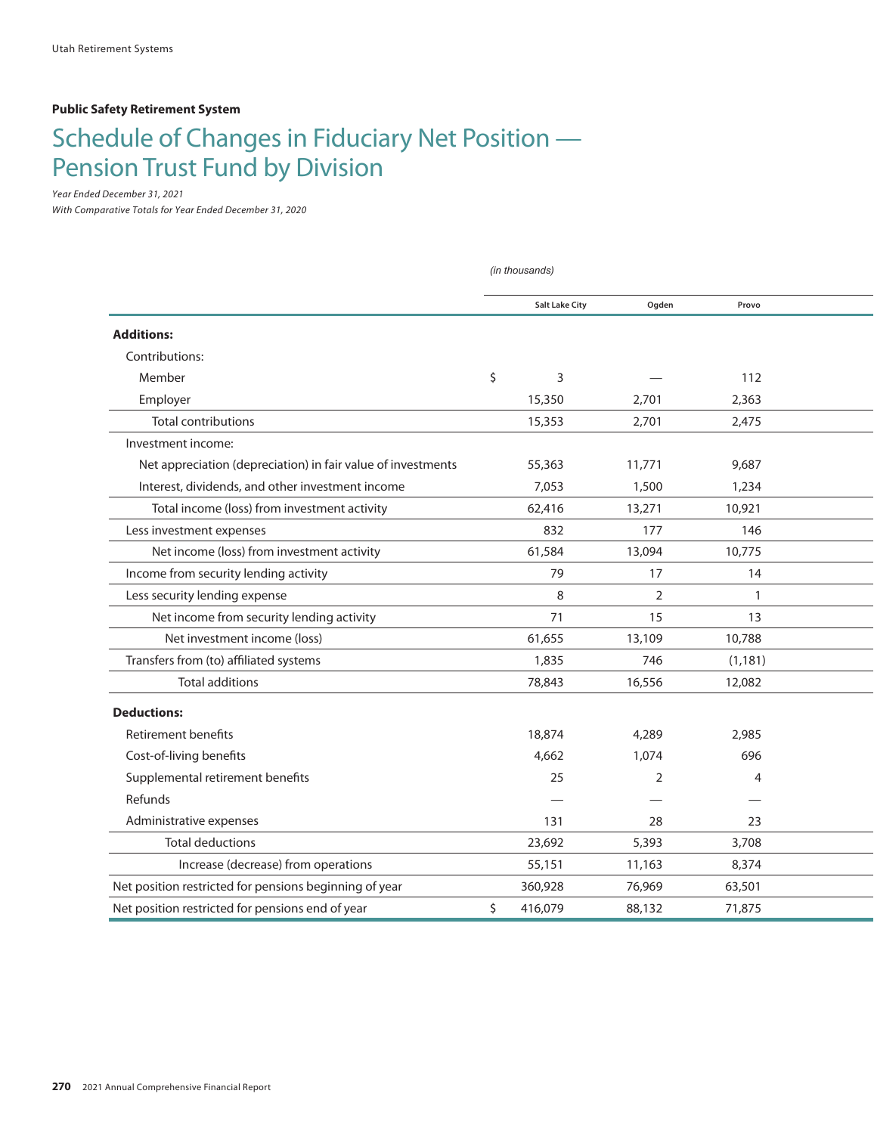# **Public Safety Retirement System Public Safety Retirement System**

# Schedule of Changes in Fiduciary Net Position — Schedule of Changes in Fiduciary Net Position — Pension Trust Fund by Division Pension Trust Fund by Division

*Year Ended December 31, 2021 Year Ended December 31, 2021*

*With Comparative Totals for Year Ended December 31, 2020 With Comparative Totals for Year Ended December 31, 2020*

|                                                              | (in thousands) |                       |                |              |  |
|--------------------------------------------------------------|----------------|-----------------------|----------------|--------------|--|
|                                                              |                | <b>Salt Lake City</b> | Ogden          | Provo        |  |
| <b>Additions:</b>                                            |                |                       |                |              |  |
| Contributions:                                               |                |                       |                |              |  |
| Member                                                       | \$             | 3                     |                | 112          |  |
| Employer                                                     |                | 15,350                | 2,701          | 2,363        |  |
| <b>Total contributions</b>                                   |                | 15,353                | 2,701          | 2,475        |  |
| Investment income:                                           |                |                       |                |              |  |
| Net appreciation (depreciation) in fair value of investments |                | 55,363                | 11,771         | 9,687        |  |
| Interest, dividends, and other investment income             |                | 7,053                 | 1,500          | 1,234        |  |
| Total income (loss) from investment activity                 |                | 62,416                | 13,271         | 10,921       |  |
| Less investment expenses                                     |                | 832                   | 177            | 146          |  |
| Net income (loss) from investment activity                   |                | 61,584                | 13,094         | 10,775       |  |
| Income from security lending activity                        |                | 79                    | 17             | 14           |  |
| Less security lending expense                                |                | 8                     | $\overline{2}$ | $\mathbf{1}$ |  |
| Net income from security lending activity                    |                | 71                    | 15             | 13           |  |
| Net investment income (loss)                                 |                | 61,655                | 13,109         | 10,788       |  |
| Transfers from (to) affiliated systems                       |                | 1,835                 | 746            | (1, 181)     |  |
| <b>Total additions</b>                                       |                | 78,843                | 16,556         | 12,082       |  |
| <b>Deductions:</b>                                           |                |                       |                |              |  |
| Retirement benefits                                          |                | 18,874                | 4,289          | 2,985        |  |
| Cost-of-living benefits                                      |                | 4,662                 | 1,074          | 696          |  |
| Supplemental retirement benefits                             |                | 25                    | 2              | 4            |  |
| Refunds                                                      |                |                       |                |              |  |
| Administrative expenses                                      |                | 131                   | 28             | 23           |  |
| <b>Total deductions</b>                                      |                | 23,692                | 5,393          | 3,708        |  |
| Increase (decrease) from operations                          |                | 55,151                | 11,163         | 8,374        |  |
| Net position restricted for pensions beginning of year       |                | 360,928               | 76,969         | 63,501       |  |
| Net position restricted for pensions end of year             | \$             | 416,079               | 88,132         | 71,875       |  |